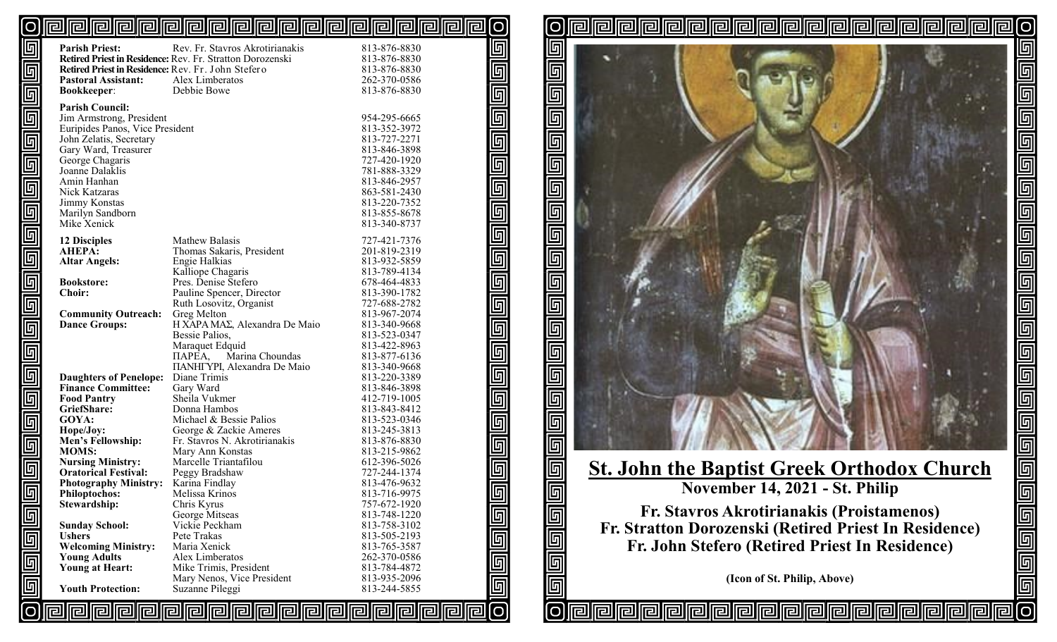#### **elelelelelelel ||e|||e|||e|** 囘 lel 问  $\overline{O}$ 12 I

回

回

面

 $\overline{\mathbb{F}}$ 

回

|O

司同

리

rall

| 回                                  | <b>Parish Priest:</b>                                   | Rev. Fr. Stavros Akrotirianakis<br>Retired Priest in Residence: Rev. Fr. Stratton Dorozenski | 813-876-8830<br>813-876-8830 | 5                                                                                                                                                                                                                                                                                                                                                                                                                                                                                                                            |
|------------------------------------|---------------------------------------------------------|----------------------------------------------------------------------------------------------|------------------------------|------------------------------------------------------------------------------------------------------------------------------------------------------------------------------------------------------------------------------------------------------------------------------------------------------------------------------------------------------------------------------------------------------------------------------------------------------------------------------------------------------------------------------|
| <u>同同同</u>                         | Retired Priest in Residence: Rev. Fr. John Stefero      |                                                                                              | 813-876-8830                 | $\overline{\mathbb{F}}$                                                                                                                                                                                                                                                                                                                                                                                                                                                                                                      |
|                                    | <b>Pastoral Assistant:</b>                              | Alex Limberatos                                                                              | 262-370-0586                 |                                                                                                                                                                                                                                                                                                                                                                                                                                                                                                                              |
|                                    | <b>Bookkeeper:</b>                                      | Debbie Bowe                                                                                  | 813-876-8830                 |                                                                                                                                                                                                                                                                                                                                                                                                                                                                                                                              |
|                                    | <b>Parish Council:</b><br>Jim Armstrong, President      |                                                                                              | 954-295-6665                 |                                                                                                                                                                                                                                                                                                                                                                                                                                                                                                                              |
|                                    | Euripides Panos, Vice President                         |                                                                                              | 813-352-3972                 |                                                                                                                                                                                                                                                                                                                                                                                                                                                                                                                              |
| $\overline{\mathbb{F}}$            | John Zelatis, Secretary                                 |                                                                                              | 813-727-2271                 |                                                                                                                                                                                                                                                                                                                                                                                                                                                                                                                              |
|                                    | Gary Ward, Treasurer                                    |                                                                                              | 813-846-3898                 |                                                                                                                                                                                                                                                                                                                                                                                                                                                                                                                              |
| $\overline{\mathsf{F}}$            | George Chagaris<br>Joanne Dalaklis                      |                                                                                              | 727-420-1920<br>781-888-3329 |                                                                                                                                                                                                                                                                                                                                                                                                                                                                                                                              |
|                                    | Amin Hanhan                                             |                                                                                              | 813-846-2957                 |                                                                                                                                                                                                                                                                                                                                                                                                                                                                                                                              |
| $\overline{\mathbb{F}}$            | <b>Nick Katzaras</b>                                    |                                                                                              | 863-581-2430                 |                                                                                                                                                                                                                                                                                                                                                                                                                                                                                                                              |
| $\overline{\mathbb{F}}$            | Jimmy Konstas                                           |                                                                                              | 813-220-7352                 |                                                                                                                                                                                                                                                                                                                                                                                                                                                                                                                              |
|                                    | Marilyn Sandborn<br>Mike Xenick                         |                                                                                              | 813-855-8678<br>813-340-8737 |                                                                                                                                                                                                                                                                                                                                                                                                                                                                                                                              |
| <u>elelele</u>                     |                                                         |                                                                                              |                              |                                                                                                                                                                                                                                                                                                                                                                                                                                                                                                                              |
|                                    | <b>12 Disciples</b><br><b>AHEPA:</b>                    | Mathew Balasis<br>Thomas Sakaris, President                                                  | 727-421-7376<br>201-819-2319 |                                                                                                                                                                                                                                                                                                                                                                                                                                                                                                                              |
|                                    | <b>Altar Angels:</b>                                    | Engie Halkias                                                                                | 813-932-5859                 |                                                                                                                                                                                                                                                                                                                                                                                                                                                                                                                              |
|                                    |                                                         | Kalliope Chagaris                                                                            | 813-789-4134                 |                                                                                                                                                                                                                                                                                                                                                                                                                                                                                                                              |
|                                    | <b>Bookstore:</b>                                       | Pres. Denise Stefero                                                                         | 678-464-4833                 |                                                                                                                                                                                                                                                                                                                                                                                                                                                                                                                              |
|                                    | <b>Choir:</b>                                           | Pauline Spencer, Director<br>Ruth Losovitz, Organist                                         | 813-390-1782<br>727-688-2782 |                                                                                                                                                                                                                                                                                                                                                                                                                                                                                                                              |
|                                    | <b>Community Outreach:</b>                              | Greg Melton                                                                                  | 813-967-2074                 |                                                                                                                                                                                                                                                                                                                                                                                                                                                                                                                              |
| $\overline{\mathbb{F}}$            | <b>Dance Groups:</b>                                    | H XAPA MAΣ, Alexandra De Maio                                                                | 813-340-9668                 |                                                                                                                                                                                                                                                                                                                                                                                                                                                                                                                              |
|                                    |                                                         | Bessie Palios,                                                                               | 813-523-0347                 |                                                                                                                                                                                                                                                                                                                                                                                                                                                                                                                              |
|                                    |                                                         | Maraquet Edquid<br><b><i>HAPEA</i></b> , Marina Choundas                                     | 813-422-8963                 |                                                                                                                                                                                                                                                                                                                                                                                                                                                                                                                              |
| 回<br>回                             |                                                         | <b>ΠΑΝΗΓΥΡΙ, Alexandra De Maio</b>                                                           | 813-877-6136<br>813-340-9668 |                                                                                                                                                                                                                                                                                                                                                                                                                                                                                                                              |
|                                    | <b>Daughters of Penelope:</b>                           | Diane Trimis                                                                                 | 813-220-3389                 |                                                                                                                                                                                                                                                                                                                                                                                                                                                                                                                              |
|                                    | <b>Finance Committee:</b>                               | Gary Ward                                                                                    | 813-846-3898                 |                                                                                                                                                                                                                                                                                                                                                                                                                                                                                                                              |
| 回                                  | <b>Food Pantry</b>                                      | Sheila Vukmer                                                                                | 412-719-1005                 |                                                                                                                                                                                                                                                                                                                                                                                                                                                                                                                              |
|                                    | GriefShare:<br>GOYA:                                    | Donna Hambos<br>Michael & Bessie Palios                                                      | 813-843-8412<br>813-523-0346 |                                                                                                                                                                                                                                                                                                                                                                                                                                                                                                                              |
| $\overline{\mathbb{F}}$            | Hope/Joy:                                               | George & Zackie Ameres                                                                       | 813-245-3813                 |                                                                                                                                                                                                                                                                                                                                                                                                                                                                                                                              |
| $\overline{\overline{\mathbb{G}}}$ | Men's Fellowship:                                       | Fr. Stavros N. Akrotirianakis                                                                | 813-876-8830                 |                                                                                                                                                                                                                                                                                                                                                                                                                                                                                                                              |
|                                    | <b>MOMS:</b>                                            | Mary Ann Konstas                                                                             | 813-215-9862                 |                                                                                                                                                                                                                                                                                                                                                                                                                                                                                                                              |
| $\overline{\mathbb{F}}$            | <b>Nursing Ministry:</b><br><b>Oratorical Festival:</b> | Marcelle Triantafilou<br>Peggy Bradshaw                                                      | 612-396-5026<br>727-244-1374 |                                                                                                                                                                                                                                                                                                                                                                                                                                                                                                                              |
|                                    | <b>Photography Ministry:</b>                            | Karina Findlay                                                                               | 813-476-9632                 |                                                                                                                                                                                                                                                                                                                                                                                                                                                                                                                              |
| $\overline{\mathbb{F}}$            | <b>Philoptochos:</b>                                    | Melissa Krinos                                                                               | 813-716-9975                 | $\overline{\overline{\mathbb{F}}}% \left[ \begin{array}{cc} \overline{\mathbb{F}}% & \overline{\mathbb{F}}% & \overline{\mathbb{F}}% & \overline{\mathbb{F}}% & \overline{\mathbb{F}}% & \overline{\mathbb{F}}% & \overline{\mathbb{F}}% & \overline{\mathbb{F}}% & \overline{\mathbb{F}}% & \overline{\mathbb{F}}% & \overline{\mathbb{F}}% & \overline{\mathbb{F}}% & \overline{\mathbb{F}}% & \overline{\mathbb{F}}% & \overline{\mathbb{F}}% & \overline{\mathbb{F}}% & \overline{\mathbb{F}}% & \overline{\mathbb{F}}%$ |
|                                    | Stewardship:                                            | Chris Kyrus                                                                                  | 757-672-1920                 |                                                                                                                                                                                                                                                                                                                                                                                                                                                                                                                              |
| <u>回</u>                           |                                                         | George Mitseas<br>Vickie Peckham                                                             | 813-748-1220                 | <u>回</u>                                                                                                                                                                                                                                                                                                                                                                                                                                                                                                                     |
| $\overline{\mathbb{F}}$            | <b>Sunday School:</b><br><b>Ushers</b>                  | Pete Trakas                                                                                  | 813-758-3102<br>813-505-2193 |                                                                                                                                                                                                                                                                                                                                                                                                                                                                                                                              |
|                                    | <b>Welcoming Ministry:</b>                              | Maria Xenick                                                                                 | 813-765-3587                 | <u>g</u>                                                                                                                                                                                                                                                                                                                                                                                                                                                                                                                     |
| 叵                                  | <b>Young Adults</b>                                     | Alex Limberatos                                                                              | 262-370-0586                 | $\overline{\mathbb{F}}$                                                                                                                                                                                                                                                                                                                                                                                                                                                                                                      |
|                                    | <b>Young at Heart:</b>                                  | Mike Trimis, President                                                                       | 813-784-4872                 |                                                                                                                                                                                                                                                                                                                                                                                                                                                                                                                              |
| $\overline{\mathbb{F}}$            | <b>Youth Protection:</b>                                | Mary Nenos, Vice President<br>Suzanne Pileggi                                                | 813-935-2096<br>813-244-5855 | 回                                                                                                                                                                                                                                                                                                                                                                                                                                                                                                                            |
|                                    |                                                         |                                                                                              |                              |                                                                                                                                                                                                                                                                                                                                                                                                                                                                                                                              |
|                                    | 囘<br>힌                                                  | 可<br><b>Iral</b><br>囘<br>厄                                                                   | 厄                            |                                                                                                                                                                                                                                                                                                                                                                                                                                                                                                                              |



[O

واواواواواوا

回同

**이** 

r

# **St. John the Baptist Greek Orthodox Church November 14, 2021 - St. Philip**

**Fr. Stavros Akrotirianakis (Proistamenos) Fr. Stratton Dorozenski (Retired Priest In Residence) Fr. John Stefero (Retired Priest In Residence)**

**(Icon of St. Philip, Above)**

**propr**efekt

问问

囘囘囘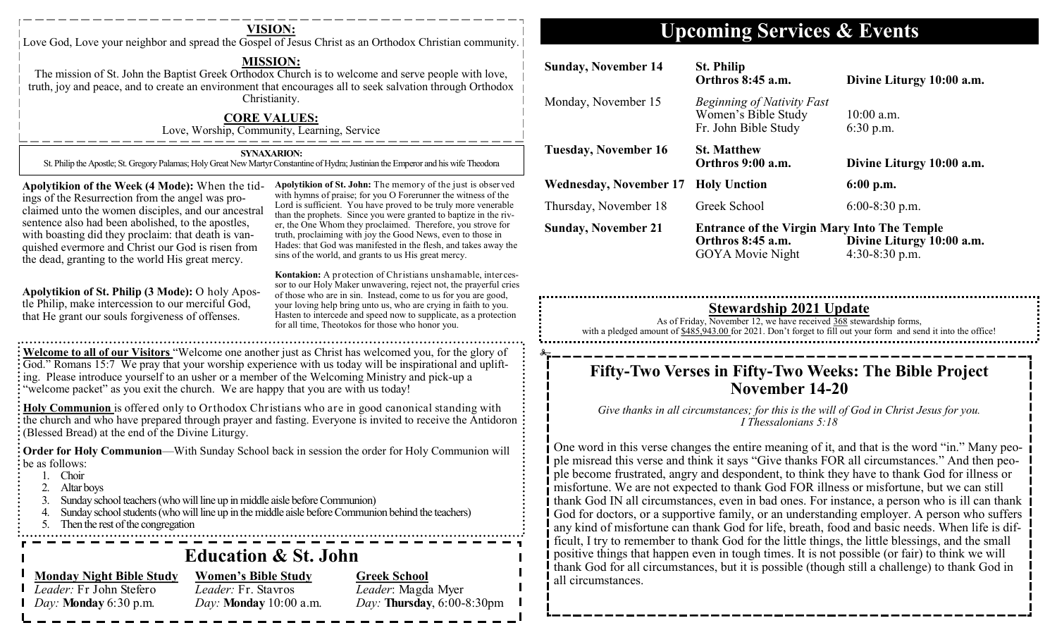| <b>VISION:</b><br>Love God, Love your neighbor and spread the Gospel of Jesus Christ as an Orthodox Christian community.                                                                                                                                                                                                                                                                                                                                                                                                                                                                                                                                                  |                                                                                                                                                                                                                                                                                                                                                                                                                                                                                                                                                             |                                                                                                                                                                                                                                                                                                                           | <b>Upcoming Services &amp; Events</b>                                                                                                                                                                                                 |                                                                                                    |                                             |
|---------------------------------------------------------------------------------------------------------------------------------------------------------------------------------------------------------------------------------------------------------------------------------------------------------------------------------------------------------------------------------------------------------------------------------------------------------------------------------------------------------------------------------------------------------------------------------------------------------------------------------------------------------------------------|-------------------------------------------------------------------------------------------------------------------------------------------------------------------------------------------------------------------------------------------------------------------------------------------------------------------------------------------------------------------------------------------------------------------------------------------------------------------------------------------------------------------------------------------------------------|---------------------------------------------------------------------------------------------------------------------------------------------------------------------------------------------------------------------------------------------------------------------------------------------------------------------------|---------------------------------------------------------------------------------------------------------------------------------------------------------------------------------------------------------------------------------------|----------------------------------------------------------------------------------------------------|---------------------------------------------|
| <b>MISSION:</b><br>The mission of St. John the Baptist Greek Orthodox Church is to welcome and serve people with love,<br>truth, joy and peace, and to create an environment that encourages all to seek salvation through Orthodox                                                                                                                                                                                                                                                                                                                                                                                                                                       |                                                                                                                                                                                                                                                                                                                                                                                                                                                                                                                                                             | <b>Sunday, November 14</b>                                                                                                                                                                                                                                                                                                | <b>St. Philip</b><br>Orthros 8:45 a.m.                                                                                                                                                                                                | Divine Liturgy 10:00 a.m.                                                                          |                                             |
|                                                                                                                                                                                                                                                                                                                                                                                                                                                                                                                                                                                                                                                                           | Christianity.<br><b>CORE VALUES:</b><br>Love, Worship, Community, Learning, Service                                                                                                                                                                                                                                                                                                                                                                                                                                                                         |                                                                                                                                                                                                                                                                                                                           | Monday, November 15                                                                                                                                                                                                                   | <b>Beginning of Nativity Fast</b><br>Women's Bible Study<br>Fr. John Bible Study                   | 10:00 a.m.<br>$6:30$ p.m.                   |
| <b>SYNAXARION:</b><br>St. Philip the Apostle; St. Gregory Palamas; Holy Great New Martyr Constantine of Hydra; Justinian the Emperor and his wife Theodora                                                                                                                                                                                                                                                                                                                                                                                                                                                                                                                |                                                                                                                                                                                                                                                                                                                                                                                                                                                                                                                                                             | <b>Tuesday, November 16</b>                                                                                                                                                                                                                                                                                               | <b>St. Matthew</b><br>Orthros 9:00 a.m.                                                                                                                                                                                               | Divine Liturgy 10:00 a.m.                                                                          |                                             |
| Apolytikion of St. John: The memory of the just is observed<br>Apolytikion of the Week (4 Mode): When the tid-                                                                                                                                                                                                                                                                                                                                                                                                                                                                                                                                                            |                                                                                                                                                                                                                                                                                                                                                                                                                                                                                                                                                             |                                                                                                                                                                                                                                                                                                                           | <b>Wednesday, November 17</b>                                                                                                                                                                                                         | <b>Holy Unction</b>                                                                                | 6:00 p.m.                                   |
|                                                                                                                                                                                                                                                                                                                                                                                                                                                                                                                                                                                                                                                                           | with hymns of praise; for you O Forerunner the witness of the<br>ings of the Resurrection from the angel was pro-<br>Lord is sufficient. You have proved to be truly more venerable<br>claimed unto the women disciples, and our ancestral                                                                                                                                                                                                                                                                                                                  |                                                                                                                                                                                                                                                                                                                           |                                                                                                                                                                                                                                       | Greek School                                                                                       | $6:00-8:30$ p.m.                            |
| sentence also had been abolished, to the apostles,<br>with boasting did they proclaim: that death is van-<br>quished evermore and Christ our God is risen from<br>the dead, granting to the world His great mercy.                                                                                                                                                                                                                                                                                                                                                                                                                                                        |                                                                                                                                                                                                                                                                                                                                                                                                                                                                                                                                                             | than the prophets. Since you were granted to baptize in the riv-<br>er, the One Whom they proclaimed. Therefore, you strove for<br>truth, proclaiming with joy the Good News, even to those in<br>Hades: that God was manifested in the flesh, and takes away the<br>sins of the world, and grants to us His great mercy. | <b>Sunday, November 21</b>                                                                                                                                                                                                            | <b>Entrance of the Virgin Mary Into The Temple</b><br>Orthros 8:45 a.m.<br><b>GOYA</b> Movie Night | Divine Liturgy 10:00 a.m.<br>4:30-8:30 p.m. |
|                                                                                                                                                                                                                                                                                                                                                                                                                                                                                                                                                                                                                                                                           | Kontakion: A protection of Christians unshamable, interces-<br>sor to our Holy Maker unwavering, reject not, the prayerful cries<br>Apolytikion of St. Philip (3 Mode): O holy Apos-<br>of those who are in sin. Instead, come to us for you are good,<br>tle Philip, make intercession to our merciful God,<br>your loving help bring unto us, who are crying in faith to you.<br>Hasten to intercede and speed now to supplicate, as a protection<br>that He grant our souls forgiveness of offenses.<br>for all time, Theotokos for those who honor you. |                                                                                                                                                                                                                                                                                                                           | <b>Stewardship 2021 Update</b><br>As of Friday, November 12, we have received $\frac{368}{368}$ stewardship forms,<br>with a pledged amount of \$485,943.00 for 2021. Don't forget to fill out your form and send it into the office! |                                                                                                    |                                             |
| Welcome to all of our Visitors "Welcome one another just as Christ has welcomed you, for the glory of<br>God." Romans 15:7 We pray that your worship experience with us today will be inspirational and uplift-<br>ing. Please introduce yourself to an usher or a member of the Welcoming Ministry and pick-up a<br>"welcome packet" as you exit the church. We are happy that you are with us today!<br>Holy Communion is offered only to Orthodox Christians who are in good canonical standing with<br>the church and who have prepared through prayer and fasting. Everyone is invited to receive the Antidoron<br>(Blessed Bread) at the end of the Divine Liturgy. |                                                                                                                                                                                                                                                                                                                                                                                                                                                                                                                                                             |                                                                                                                                                                                                                                                                                                                           | Fifty-Two Verses in Fifty-Two Weeks: The Bible Project<br>November 14-20<br>Give thanks in all circumstances; for this is the will of God in Christ Jesus for you.<br>I Thessalonians 5:18                                            |                                                                                                    |                                             |
|                                                                                                                                                                                                                                                                                                                                                                                                                                                                                                                                                                                                                                                                           |                                                                                                                                                                                                                                                                                                                                                                                                                                                                                                                                                             |                                                                                                                                                                                                                                                                                                                           |                                                                                                                                                                                                                                       |                                                                                                    |                                             |

 $\sim$ 

 $\sim$  $\sim$   $\sim$  $\sim$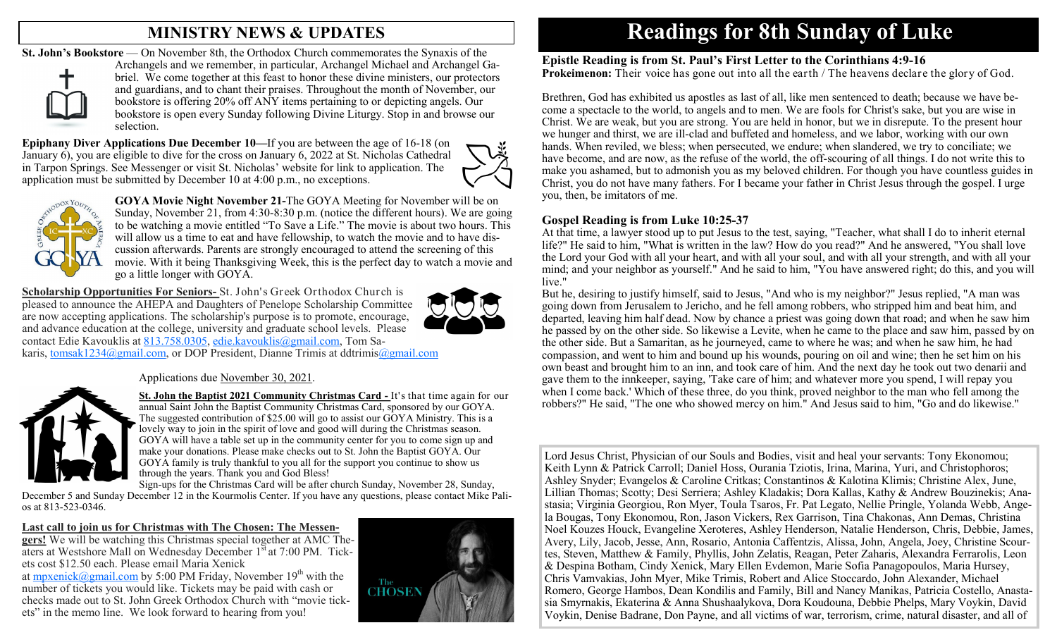## **MINISTRY NEWS & UPDATES**

**St. John's Bookstore** — On November 8th, the Orthodox Church commemorates the Synaxis of the



Archangels and we remember, in particular, Archangel Michael and Archangel Gabriel. We come together at this feast to honor these divine ministers, our protectors and guardians, and to chant their praises. Throughout the month of November, our bookstore is offering 20% off ANY items pertaining to or depicting angels. Our bookstore is open every Sunday following Divine Liturgy. Stop in and browse our selection.

**Epiphany Diver Applications Due December 10—**If you are between the age of 16-18 (on January 6), you are eligible to dive for the cross on January 6, 2022 at St. Nicholas Cathedral in Tarpon Springs. See Messenger or visit St. Nicholas' website for link to application. The application must be submitted by December 10 at 4:00 p.m., no exceptions.





**GOYA Movie Night November 21-**The GOYA Meeting for November will be on Sunday, November 21, from 4:30-8:30 p.m. (notice the different hours). We are going to be watching a movie entitled "To Save a Life." The movie is about two hours. This will allow us a time to eat and have fellowship, to watch the movie and to have discussion afterwards. Parents are strongly encouraged to attend the screening of this movie. With it being Thanksgiving Week, this is the perfect day to watch a movie and go a little longer with GOYA.

**Scholarship Opportunities For Seniors-** St. John's Greek Orthodox Church is pleased to announce the AHEPA and Daughters of Penelope Scholarship Committee are now accepting applications. The scholarship's purpose is to promote, encourage, and advance education at the college, university and graduate school levels. Please contact Edie Kavouklis at [813.758.0305,](tel:813.758.0305) [edie.kavouklis@gmail.com,](mailto:edie.kavouklis@gmail.com) Tom Sa-



karis, [tomsak1234@gmail.com,](mailto:tomsak1234@gmail.com) or DOP President, Dianne Trimis at ddtrimi[s@gmail.com](mailto:@gmail.com)

#### Applications due November 30, 2021.



**St. John the Baptist 2021 Community Christmas Card -** It's that time again for our annual Saint John the Baptist Community Christmas Card, sponsored by our GOYA. The suggested contribution of \$25.00 will go to assist our GOYA Ministry. This is a lovely way to join in the spirit of love and good will during the Christmas season. GOYA will have a table set up in the community center for you to come sign up and make your donations. Please make checks out to St. John the Baptist GOYA. Our GOYA family is truly thankful to you all for the support you continue to show us through the years. Thank you and God Bless!

Sign-ups for the Christmas Card will be after church Sunday, November 28, Sunday, December 5 and Sunday December 12 in the Kourmolis Center. If you have any questions, please contact Mike Palios at 813-523-0346.

**Last call to join us for Christmas with The Chosen: The Messengers!** We will be watching this Christmas special together at AMC Theaters at Westshore Mall on Wednesday December  $1^{st}$  at 7:00 PM. Tickets cost \$12.50 each. Please email Maria Xenick at [mpxenick@gmail.com](mailto:mpxenick@gmail.com) by 5:00 PM Friday, November  $19<sup>th</sup>$  with the number of tickets you would like. Tickets may be paid with cash or checks made out to St. John Greek Orthodox Church with "movie tickets" in the memo line. We look forward to hearing from you!



# **Readings for 8th Sunday of Luke**

**Epistle Reading is from St. Paul's First Letter to the Corinthians 4:9-16 Prokeimenon:** Their voice has gone out into all the earth / The heavens declare the glory of God.

Brethren, God has exhibited us apostles as last of all, like men sentenced to death; because we have become a spectacle to the world, to angels and to men. We are fools for Christ's sake, but you are wise in Christ. We are weak, but you are strong. You are held in honor, but we in disrepute. To the present hour we hunger and thirst, we are ill-clad and buffeted and homeless, and we labor, working with our own hands. When reviled, we bless; when persecuted, we endure; when slandered, we try to conciliate; we have become, and are now, as the refuse of the world, the off-scouring of all things. I do not write this to make you ashamed, but to admonish you as my beloved children. For though you have countless guides in Christ, you do not have many fathers. For I became your father in Christ Jesus through the gospel. I urge you, then, be imitators of me.

#### **Gospel Reading is from Luke 10:25-37**

At that time, a lawyer stood up to put Jesus to the test, saying, "Teacher, what shall I do to inherit eternal life?" He said to him, "What is written in the law? How do you read?" And he answered, "You shall love the Lord your God with all your heart, and with all your soul, and with all your strength, and with all your mind; and your neighbor as yourself." And he said to him, "You have answered right; do this, and you will live."

But he, desiring to justify himself, said to Jesus, "And who is my neighbor?" Jesus replied, "A man was going down from Jerusalem to Jericho, and he fell among robbers, who stripped him and beat him, and departed, leaving him half dead. Now by chance a priest was going down that road; and when he saw him he passed by on the other side. So likewise a Levite, when he came to the place and saw him, passed by on the other side. But a Samaritan, as he journeyed, came to where he was; and when he saw him, he had compassion, and went to him and bound up his wounds, pouring on oil and wine; then he set him on his own beast and brought him to an inn, and took care of him. And the next day he took out two denarii and gave them to the innkeeper, saying, 'Take care of him; and whatever more you spend, I will repay you when I come back.' Which of these three, do you think, proved neighbor to the man who fell among the robbers?" He said, "The one who showed mercy on him." And Jesus said to him, "Go and do likewise."

Lord Jesus Christ, Physician of our Souls and Bodies, visit and heal your servants: Tony Ekonomou; Keith Lynn & Patrick Carroll; Daniel Hoss, Ourania Tziotis, Irina, Marina, Yuri, and Christophoros; Ashley Snyder; Evangelos & Caroline Critkas; Constantinos & Kalotina Klimis; Christine Alex, June, Lillian Thomas; Scotty; Desi Serriera; Ashley Kladakis; Dora Kallas, Kathy & Andrew Bouzinekis; Anastasia; Virginia Georgiou, Ron Myer, Toula Tsaros, Fr. Pat Legato, Nellie Pringle, Yolanda Webb, Angela Bougas, Tony Ekonomou, Ron, Jason Vickers, Rex Garrison, Tina Chakonas, Ann Demas, Christina Noel Kouzes Houck, Evangeline Xeroteres, Ashley Henderson, Natalie Henderson, Chris, Debbie, James, Avery, Lily, Jacob, Jesse, Ann, Rosario, Antonia Caffentzis, Alissa, John, Angela, Joey, Christine Scourtes, Steven, Matthew & Family, Phyllis, John Zelatis, Reagan, Peter Zaharis, Alexandra Ferrarolis, Leon & Despina Botham, Cindy Xenick, Mary Ellen Evdemon, Marie Sofia Panagopoulos, Maria Hursey, Chris Vamvakias, John Myer, Mike Trimis, Robert and Alice Stoccardo, John Alexander, Michael Romero, George Hambos, Dean Kondilis and Family, Bill and Nancy Manikas, Patricia Costello, Anastasia Smyrnakis, Ekaterina & Anna Shushaalykova, Dora Koudouna, Debbie Phelps, Mary Voykin, David Voykin, Denise Badrane, Don Payne, and all victims of war, terrorism, crime, natural disaster, and all of